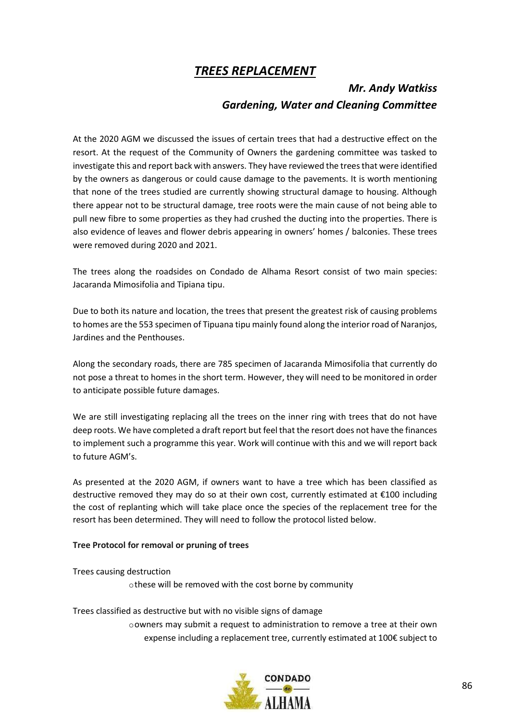## TREES REPLACEMENT

## Mr. Andy Watkiss Gardening, Water and Cleaning Committee

At the 2020 AGM we discussed the issues of certain trees that had a destructive effect on the resort. At the request of the Community of Owners the gardening committee was tasked to investigate this and report back with answers. They have reviewed the trees that were identified by the owners as dangerous or could cause damage to the pavements. It is worth mentioning that none of the trees studied are currently showing structural damage to housing. Although there appear not to be structural damage, tree roots were the main cause of not being able to pull new fibre to some properties as they had crushed the ducting into the properties. There is also evidence of leaves and flower debris appearing in owners' homes / balconies. These trees were removed during 2020 and 2021.

The trees along the roadsides on Condado de Alhama Resort consist of two main species: Jacaranda Mimosifolia and Tipiana tipu.

Due to both its nature and location, the trees that present the greatest risk of causing problems to homes are the 553 specimen of Tipuana tipu mainly found along the interior road of Naranjos, Jardines and the Penthouses.

Along the secondary roads, there are 785 specimen of Jacaranda Mimosifolia that currently do not pose a threat to homes in the short term. However, they will need to be monitored in order to anticipate possible future damages.

We are still investigating replacing all the trees on the inner ring with trees that do not have deep roots. We have completed a draft report but feel that the resort does not have the finances to implement such a programme this year. Work will continue with this and we will report back to future AGM's.

As presented at the 2020 AGM, if owners want to have a tree which has been classified as destructive removed they may do so at their own cost, currently estimated at  $\epsilon$ 100 including the cost of replanting which will take place once the species of the replacement tree for the resort has been determined. They will need to follow the protocol listed below.

## Tree Protocol for removal or pruning of trees

Trees causing destruction othese will be removed with the cost borne by community

Trees classified as destructive but with no visible signs of damage oowners may submit a request to administration to remove a tree at their own expense including a replacement tree, currently estimated at 100€ subject to